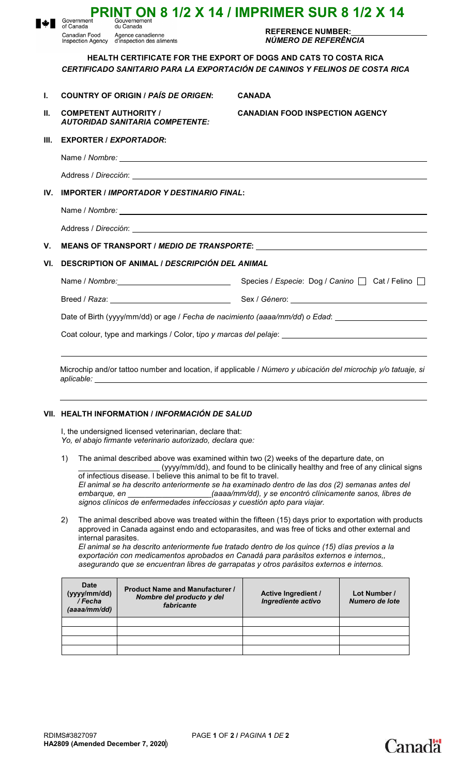|                                                                                                               | Government<br>of Canada<br>Canadian Food                          | Gouvernement<br>du Canada<br>Agence canadienne<br>Inspection Agency d'inspection des aliments | <b>REFERENCE NUMBER:</b><br>NÚMERO DE REFERÊNCIA                                                                                                        |  |  |
|---------------------------------------------------------------------------------------------------------------|-------------------------------------------------------------------|-----------------------------------------------------------------------------------------------|---------------------------------------------------------------------------------------------------------------------------------------------------------|--|--|
|                                                                                                               |                                                                   |                                                                                               | <b>HEALTH CERTIFICATE FOR THE EXPORT OF DOGS AND CATS TO COSTA RICA</b><br>CERTIFICADO SANITARIO PARA LA EXPORTACIÓN DE CANINOS Y FELINOS DE COSTA RICA |  |  |
| L.                                                                                                            |                                                                   | <b>COUNTRY OF ORIGIN / PAÍS DE ORIGEN:</b>                                                    | <b>CANADA</b>                                                                                                                                           |  |  |
| Н.                                                                                                            |                                                                   | <b>COMPETENT AUTHORITY /</b><br><b>AUTORIDAD SANITARIA COMPETENTE:</b>                        | <b>CANADIAN FOOD INSPECTION AGENCY</b>                                                                                                                  |  |  |
| III.                                                                                                          | <b>EXPORTER / EXPORTADOR:</b>                                     |                                                                                               |                                                                                                                                                         |  |  |
|                                                                                                               |                                                                   |                                                                                               |                                                                                                                                                         |  |  |
|                                                                                                               |                                                                   |                                                                                               |                                                                                                                                                         |  |  |
| IV.                                                                                                           | <b>IMPORTER / IMPORTADOR Y DESTINARIO FINAL:</b>                  |                                                                                               |                                                                                                                                                         |  |  |
|                                                                                                               |                                                                   |                                                                                               |                                                                                                                                                         |  |  |
|                                                                                                               |                                                                   |                                                                                               |                                                                                                                                                         |  |  |
| V.                                                                                                            |                                                                   |                                                                                               |                                                                                                                                                         |  |  |
| VI.                                                                                                           | DESCRIPTION OF ANIMAL / DESCRIPCIÓN DEL ANIMAL                    |                                                                                               |                                                                                                                                                         |  |  |
|                                                                                                               |                                                                   |                                                                                               | Name / Nombre: 1990 Mame / Nombre: 1990 Mame / Nombre: 1990 Mame / Nombre: 1990 Mame / Nombre: 1990 Mame 1990                                           |  |  |
|                                                                                                               |                                                                   |                                                                                               |                                                                                                                                                         |  |  |
| Date of Birth (yyyy/mm/dd) or age / Fecha de nacimiento (aaaa/mm/dd) o Edad:                                  |                                                                   |                                                                                               |                                                                                                                                                         |  |  |
|                                                                                                               | Coat colour, type and markings / Color, tipo y marcas del pelaje: |                                                                                               |                                                                                                                                                         |  |  |
|                                                                                                               |                                                                   |                                                                                               |                                                                                                                                                         |  |  |
| Microchip and/or tattoo number and location, if applicable / Número y ubicación del microchip y/o tatuaje, si |                                                                   |                                                                                               |                                                                                                                                                         |  |  |

**PRINT ON 8 1/2 X 14 / IMPRIMER SUR 8 1/2 X 14**

## **VII. HEALTH INFORMATION /** *INFORMACIÓN DE SALUD*

I, the undersigned licensed veterinarian, declare that: *Yo, el abajo firmante veterinario autorizado, declara que:*

1) The animal described above was examined within two (2) weeks of the departure date, on \_\_\_\_\_\_\_\_\_\_\_\_\_\_\_\_\_\_\_ (yyyy/mm/dd), and found to be clinically healthy and free of any clinical signs of infectious disease. I believe this animal to be fit to travel.

*El animal se ha descrito anteriormente se ha examinado dentro de las dos (2) semanas antes del embarque, en* \_\_\_\_\_\_\_\_\_\_\_\_\_\_\_\_\_\_\_ *(aaaa/mm/dd), y se encontró clínicamente sanos, libres de signos clínicos de enfermedades infecciosas y cuestión apto para viajar.*

2) The animal described above was treated within the fifteen (15) days prior to exportation with products approved in Canada against endo and ectoparasites, and was free of ticks and other external and internal parasites.

*El animal se ha descrito anteriormente fue tratado dentro de los quince (15) días previos a la exportación con medicamentos aprobados en Canadá para parásitos externos e internos,, asegurando que se encuentran libres de garrapatas y otros parásitos externos e internos.*

| Date<br>(yyyy/mm/dd)<br>/Fecha<br>(aaaa/mm/dd) | <b>Product Name and Manufacturer /</b><br>Nombre del producto y del<br>fabricante | <b>Active Ingredient /</b><br>Ingrediente activo | Lot Number /<br>Numero de lote |
|------------------------------------------------|-----------------------------------------------------------------------------------|--------------------------------------------------|--------------------------------|
|                                                |                                                                                   |                                                  |                                |
|                                                |                                                                                   |                                                  |                                |
|                                                |                                                                                   |                                                  |                                |
|                                                |                                                                                   |                                                  |                                |